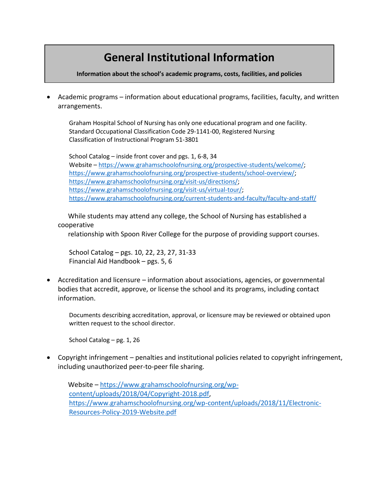## **General Institutional Information**

**Information about the school's academic programs, costs, facilities, and policies**

• Academic programs – information about educational programs, facilities, faculty, and written arrangements.

Graham Hospital School of Nursing has only one educational program and one facility. Standard Occupational Classification Code 29-1141-00, Registered Nursing Classification of Instructional Program 51-3801

School Catalog – inside front cover and pgs. 1, 6-8, 34 Website – [https://www.grahamschoolofnursing.org/prospective-students/welcome/;](https://www.grahamschoolofnursing.org/prospective-students/welcome/) [https://www.grahamschoolofnursing.org/prospective-students/school-overview/;](https://www.grahamschoolofnursing.org/prospective-students/school-overview/) [https://www.grahamschoolofnursing.org/visit-us/directions/;](https://www.grahamschoolofnursing.org/visit-us/directions/) [https://www.grahamschoolofnursing.org/visit-us/virtual-tour/;](https://www.grahamschoolofnursing.org/visit-us/virtual-tour/) <https://www.grahamschoolofnursing.org/current-students-and-faculty/faculty-and-staff/>

 While students may attend any college, the School of Nursing has established a cooperative

relationship with Spoon River College for the purpose of providing support courses.

School Catalog – pgs. 10, 22, 23, 27, 31-33 Financial Aid Handbook – pgs. 5, 6

• Accreditation and licensure – information about associations, agencies, or governmental bodies that accredit, approve, or license the school and its programs, including contact information.

Documents describing accreditation, approval, or licensure may be reviewed or obtained upon written request to the school director.

School Catalog – pg. 1, 26

• Copyright infringement – penalties and institutional policies related to copyright infringement, including unauthorized peer-to-peer file sharing.

 Website – [https://www.grahamschoolofnursing.org/wp](https://www.grahamschoolofnursing.org/wp-content/uploads/2018/04/Copyright-2018.pdf)[content/uploads/2018/04/Copyright-2018.pdf,](https://www.grahamschoolofnursing.org/wp-content/uploads/2018/04/Copyright-2018.pdf) [https://www.grahamschoolofnursing.org/wp-content/uploads/2018/11/Electronic-](https://www.grahamschoolofnursing.org/wp-content/uploads/2018/11/Electronic-Resources-Policy-2019-Website.pdf)[Resources-Policy-2019-Website.pdf](https://www.grahamschoolofnursing.org/wp-content/uploads/2018/11/Electronic-Resources-Policy-2019-Website.pdf)